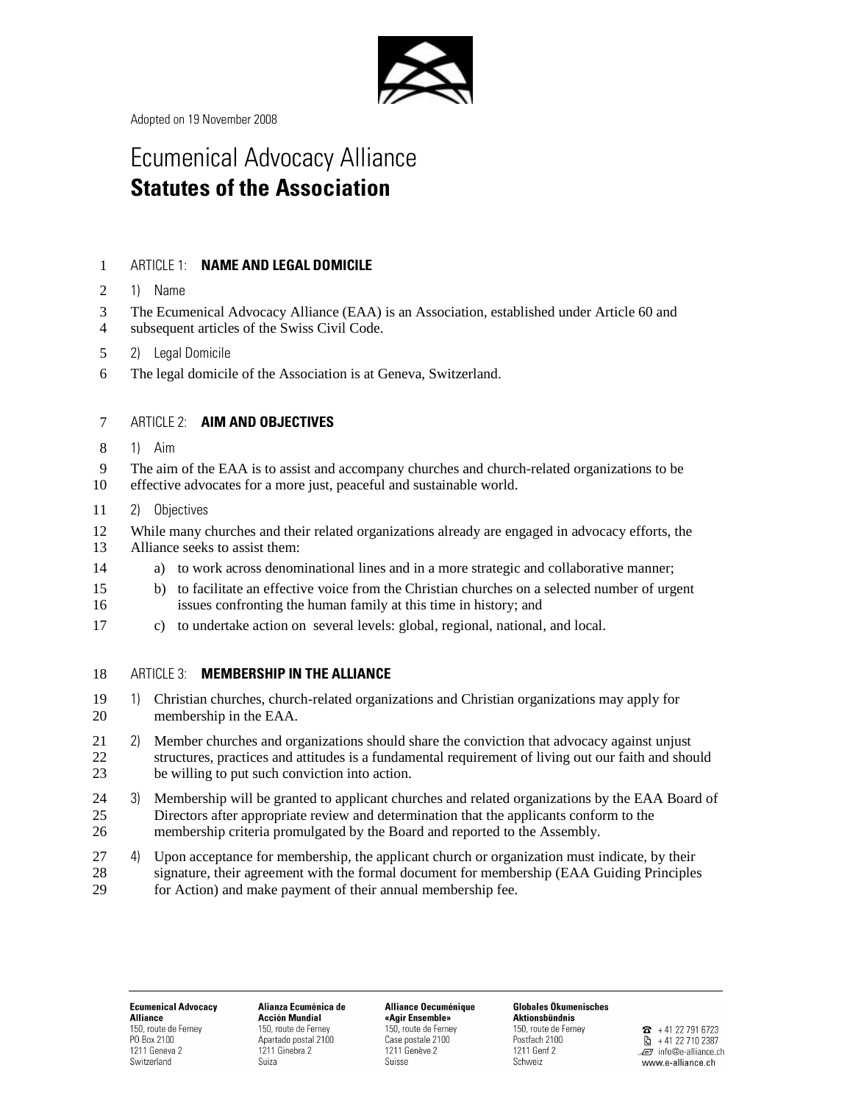

Adopted on 19 November 2008

# Ecumenical Advocacy Alliance **Statutes of the Association**

# 1 ARTICLE 1: **NAME AND LEGAL DOMICILE**

- 2 1) Name
- 3 The Ecumenical Advocacy Alliance (EAA) is an Association, established under Article 60 and
- 4 subsequent articles of the Swiss Civil Code.
- 5 2) Legal Domicile
- 6 The legal domicile of the Association is at Geneva, Switzerland.

## 7 ARTICLE 2: **AIM AND OBJECTIVES**

- 8 1) Aim
- 9 The aim of the EAA is to assist and accompany churches and church-related organizations to be
- 10 effective advocates for a more just, peaceful and sustainable world.
- 11 2) Objectives
- 12 While many churches and their related organizations already are engaged in advocacy efforts, the 13 Alliance seeks to assist them:
- 14 a) to work across denominational lines and in a more strategic and collaborative manner;
- 15 b) to facilitate an effective voice from the Christian churches on a selected number of urgent 16 issues confronting the human family at this time in history; and
- 17 c) to undertake action on several levels: global, regional, national, and local.
- 18 ARTICLE 3: **MEMBERSHIP IN THE ALLIANCE**
- 19 1) Christian churches, church-related organizations and Christian organizations may apply for 20 membership in the EAA.
- 21 2) Member churches and organizations should share the conviction that advocacy against unjust 22 structures, practices and attitudes is a fundamental requirement of living out our faith and should<br>23 be willing to put such conviction into action. be willing to put such conviction into action.
- 24 3) Membership will be granted to applicant churches and related organizations by the EAA Board of 25 Directors after appropriate review and determination that the applicants conform to the 26 membership criteria promulgated by the Board and reported to the Assembly.

27 4) Upon acceptance for membership, the applicant church or organization must indicate, by their 28 signature, their agreement with the formal document for membership (EAA Guiding Principles 29 for Action) and make payment of their annual membership fee.

**Ecumenical Advocacy Alliance** 150, route de Ferney PO Box 2100 1211 Geneva 2 Switzerland

Alianza Ecuménica de **Acción Mundial** 150, route de Ferney Anartado nostal 2100 1211 Ginebra 2 Suiza

Alliance Oecuménique «Agir Ensemble» 150, route de Ferney Case postale 2100 1211 Genève 2 Suisse

**Globales Ökumenisches Aktionsbündnis** 150, route de Ferney Postfach 2100 1211 Genf 2 Schweiz

 $\bullet$  +41 22 791 6723 图 +41 22 710 2387 . e7 info@e-alliance.ch www.e-alliance.ch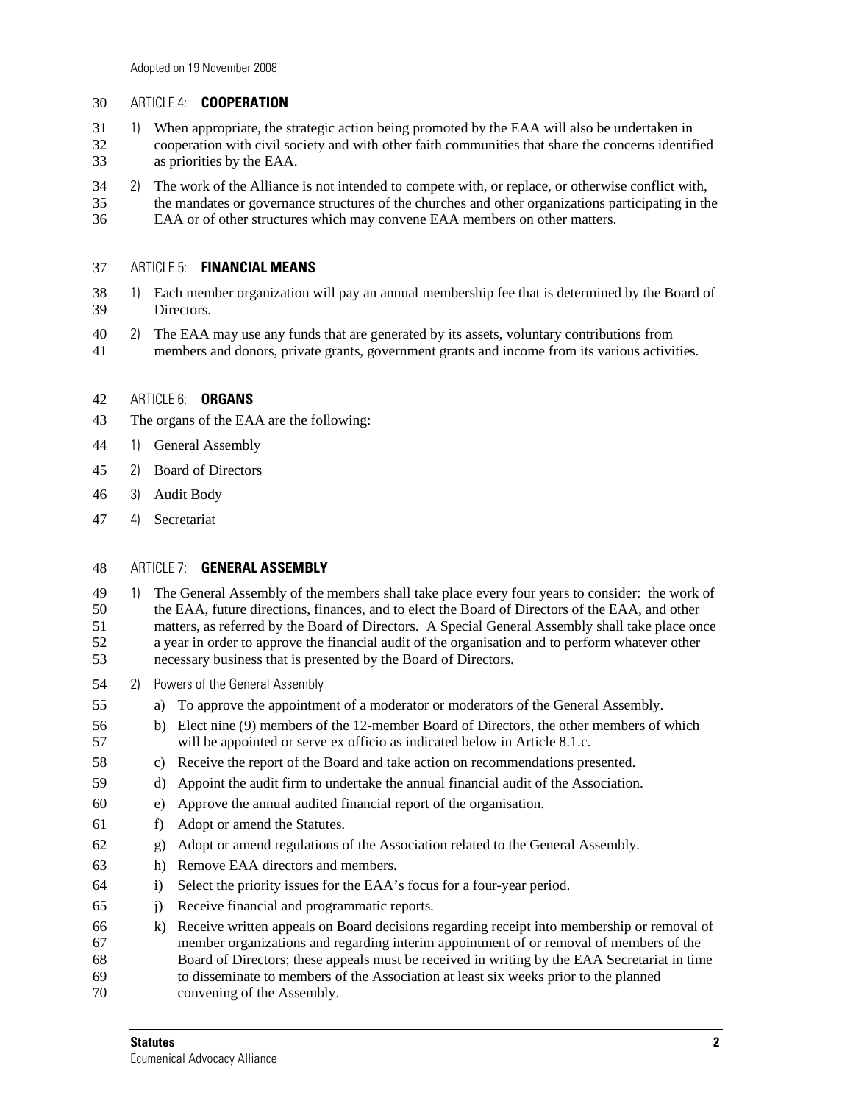## 30 ARTICLE 4: **COOPERATION**

- 31 1) When appropriate, the strategic action being promoted by the EAA will also be undertaken in 32 cooperation with civil society and with other faith communities that share the concerns identified<br>33 as priorities by the EAA. as priorities by the EAA.
- 34 2) The work of the Alliance is not intended to compete with, or replace, or otherwise conflict with,
- 35 the mandates or governance structures of the churches and other organizations participating in the 36 EAA or of other structures which may convene EAA members on other matters.

#### 37 ARTICLE 5: **FINANCIAL MEANS**

- 38 1) Each member organization will pay an annual membership fee that is determined by the Board of 39 Directors.
- 40 2) The EAA may use any funds that are generated by its assets, voluntary contributions from
- 41 members and donors, private grants, government grants and income from its various activities.

#### 42 ARTICLE 6: **ORGANS**

- 43 The organs of the EAA are the following:
- 44 1) General Assembly
- 45 2) Board of Directors
- 46 3) Audit Body
- 47 4) Secretariat

## 48 ARTICLE 7: **GENERAL ASSEMBLY**

- 49 1) The General Assembly of the members shall take place every four years to consider: the work of 50 the EAA, future directions, finances, and to elect the Board of Directors of the EAA, and other 51 matters, as referred by the Board of Directors. A Special General Assembly shall take place once 52 a year in order to approve the financial audit of the organisation and to perform whatever other 53 necessary business that is presented by the Board of Directors.
- 54 2) Powers of the General Assembly
- 55 a) To approve the appointment of a moderator or moderators of the General Assembly.
- 56 b) Elect nine (9) members of the 12-member Board of Directors, the other members of which 57 will be appointed or serve ex officio as indicated below in Article 8.1.c.
- 58 c) Receive the report of the Board and take action on recommendations presented.
- 59 d) Appoint the audit firm to undertake the annual financial audit of the Association.
- 60 e) Approve the annual audited financial report of the organisation.
- 61 f) Adopt or amend the Statutes.
- 62 g) Adopt or amend regulations of the Association related to the General Assembly.
- 63 h) Remove EAA directors and members.
- 64 i) Select the priority issues for the EAA's focus for a four-year period.
- 65 j) Receive financial and programmatic reports.
- 66 k) Receive written appeals on Board decisions regarding receipt into membership or removal of 67 member organizations and regarding interim appointment of or removal of members of the 68 Board of Directors; these appeals must be received in writing by the EAA Secretariat in time 69 to disseminate to members of the Association at least six weeks prior to the planned 70 convening of the Assembly.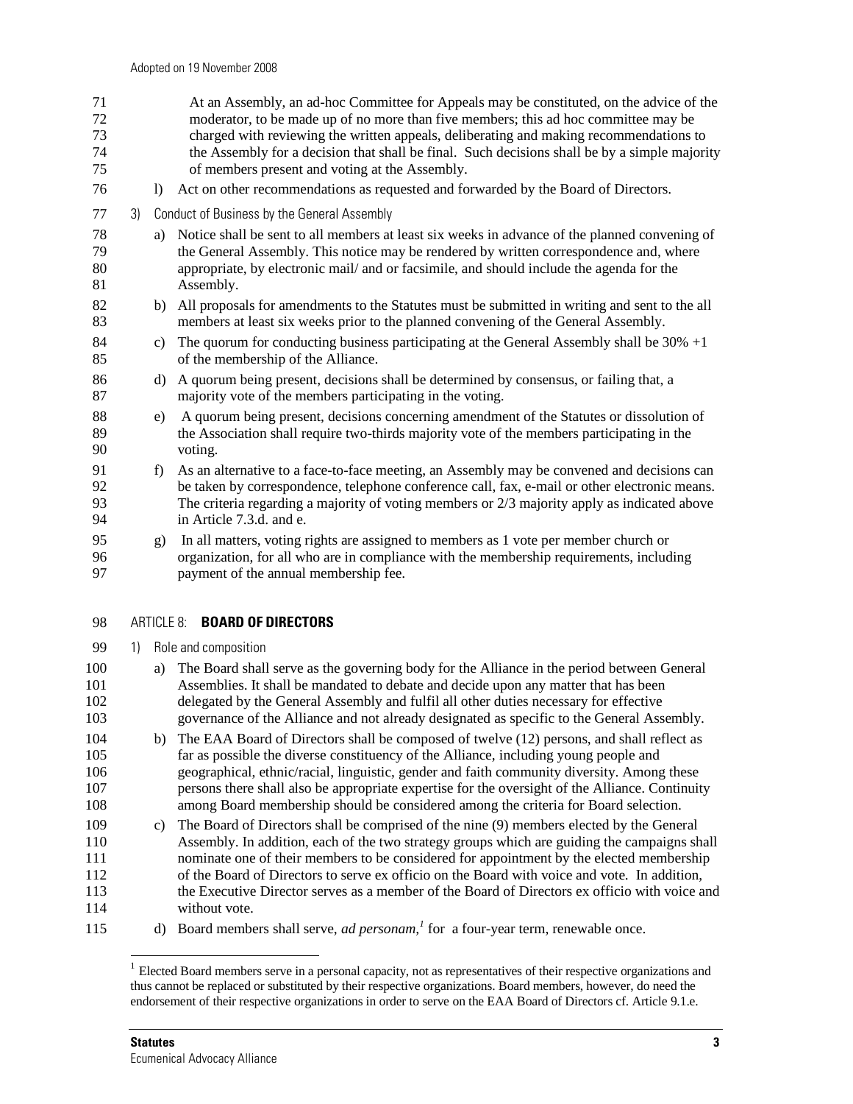| 72<br>73<br>74<br>75 |    |              | moderator, to be made up of no more than five members; this ad hoc committee may be<br>charged with reviewing the written appeals, deliberating and making recommendations to<br>the Assembly for a decision that shall be final. Such decisions shall be by a simple majority<br>of members present and voting at the Assembly. |
|----------------------|----|--------------|----------------------------------------------------------------------------------------------------------------------------------------------------------------------------------------------------------------------------------------------------------------------------------------------------------------------------------|
| 76                   |    | $\mathbf{D}$ | Act on other recommendations as requested and forwarded by the Board of Directors.                                                                                                                                                                                                                                               |
| 77                   | 3) |              | Conduct of Business by the General Assembly                                                                                                                                                                                                                                                                                      |
| 78<br>79<br>80<br>81 |    | a)           | Notice shall be sent to all members at least six weeks in advance of the planned convening of<br>the General Assembly. This notice may be rendered by written correspondence and, where<br>appropriate, by electronic mail/ and or facsimile, and should include the agenda for the<br>Assembly.                                 |
| 82<br>83             |    |              | b) All proposals for amendments to the Statutes must be submitted in writing and sent to the all<br>members at least six weeks prior to the planned convening of the General Assembly.                                                                                                                                           |
| 84<br>85             |    | c)           | The quorum for conducting business participating at the General Assembly shall be $30\% +1$<br>of the membership of the Alliance.                                                                                                                                                                                                |
| 86<br>87             |    | d)           | A quorum being present, decisions shall be determined by consensus, or failing that, a<br>majority vote of the members participating in the voting.                                                                                                                                                                              |
| 88<br>89<br>90       |    | e)           | A quorum being present, decisions concerning amendment of the Statutes or dissolution of<br>the Association shall require two-thirds majority vote of the members participating in the<br>voting.                                                                                                                                |
| 91<br>92<br>93<br>94 |    | f)           | As an alternative to a face-to-face meeting, an Assembly may be convened and decisions can<br>be taken by correspondence, telephone conference call, fax, e-mail or other electronic means.<br>The criteria regarding a majority of voting members or $2/3$ majority apply as indicated above<br>in Article 7.3.d. and e.        |
| 95<br>96             |    | $\mathbf{g}$ | In all matters, voting rights are assigned to members as 1 vote per member church or<br>organization, for all who are in compliance with the membership requirements, including                                                                                                                                                  |

71 At an Assembly, an ad-hoc Committee for Appeals may be constituted, on the advice of the

98 ARTICLE 8: **BOARD OF DIRECTORS** 

97 payment of the annual membership fee.

99 1) Role and composition

- 100 a) The Board shall serve as the governing body for the Alliance in the period between General 101 Assemblies. It shall be mandated to debate and decide upon any matter that has been 102 delegated by the General Assembly and fulfil all other duties necessary for effective 103 governance of the Alliance and not already designated as specific to the General Assembly.
- 104 b) The EAA Board of Directors shall be composed of twelve (12) persons, and shall reflect as 105 far as possible the diverse constituency of the Alliance, including young people and 106 geographical, ethnic/racial, linguistic, gender and faith community diversity. Among these 107 persons there shall also be appropriate expertise for the oversight of the Alliance. Continuity 108 among Board membership should be considered among the criteria for Board selection.
- 109 c) The Board of Directors shall be comprised of the nine (9) members elected by the General 110 Assembly. In addition, each of the two strategy groups which are guiding the campaigns shall 111 nominate one of their members to be considered for appointment by the elected membership 112 of the Board of Directors to serve ex officio on the Board with voice and vote. In addition, 113 the Executive Director serves as a member of the Board of Directors ex officio with voice and 114 without vote.
- 115 d) Board members shall serve, *ad personam*,<sup>1</sup> for a four-year term, renewable once.

-

<sup>&</sup>lt;sup>1</sup> Elected Board members serve in a personal capacity, not as representatives of their respective organizations and thus cannot be replaced or substituted by their respective organizations. Board members, however, do need the endorsement of their respective organizations in order to serve on the EAA Board of Directors cf. Article 9.1.e.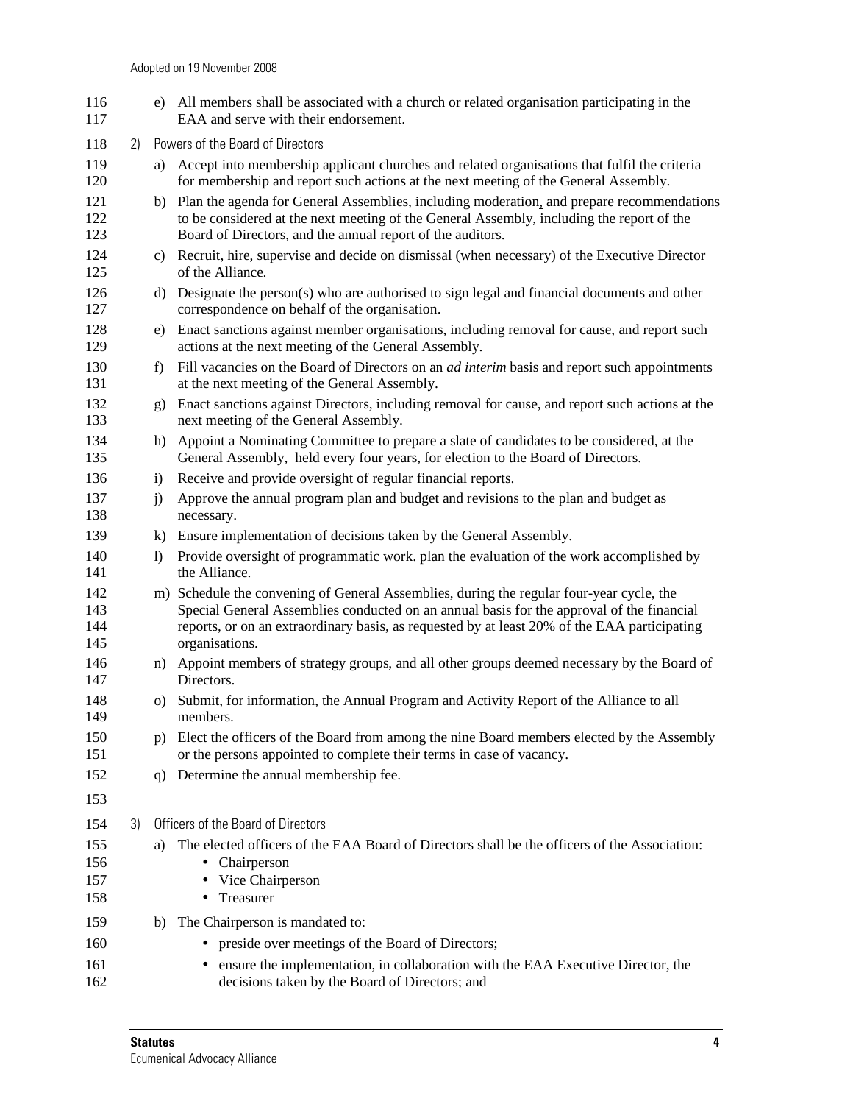| 116<br>117               |    |              | e) All members shall be associated with a church or related organisation participating in the<br>EAA and serve with their endorsement.                                                                                                                                                                  |  |  |
|--------------------------|----|--------------|---------------------------------------------------------------------------------------------------------------------------------------------------------------------------------------------------------------------------------------------------------------------------------------------------------|--|--|
| 118                      | 2) |              | Powers of the Board of Directors                                                                                                                                                                                                                                                                        |  |  |
| 119<br>120               |    | a)           | Accept into membership applicant churches and related organisations that fulfil the criteria<br>for membership and report such actions at the next meeting of the General Assembly.                                                                                                                     |  |  |
| 121<br>122<br>123        |    |              | b) Plan the agenda for General Assemblies, including moderation, and prepare recommendations<br>to be considered at the next meeting of the General Assembly, including the report of the<br>Board of Directors, and the annual report of the auditors.                                                 |  |  |
| 124<br>125               |    | C)           | Recruit, hire, supervise and decide on dismissal (when necessary) of the Executive Director<br>of the Alliance.                                                                                                                                                                                         |  |  |
| 126<br>127               |    | d)           | Designate the person(s) who are authorised to sign legal and financial documents and other<br>correspondence on behalf of the organisation.                                                                                                                                                             |  |  |
| 128<br>129               |    | e)           | Enact sanctions against member organisations, including removal for cause, and report such<br>actions at the next meeting of the General Assembly.                                                                                                                                                      |  |  |
| 130<br>131               |    | f)           | Fill vacancies on the Board of Directors on an <i>ad interim</i> basis and report such appointments<br>at the next meeting of the General Assembly.                                                                                                                                                     |  |  |
| 132<br>133               |    | $\mathbf{Q}$ | Enact sanctions against Directors, including removal for cause, and report such actions at the<br>next meeting of the General Assembly.                                                                                                                                                                 |  |  |
| 134<br>135               |    | h)           | Appoint a Nominating Committee to prepare a slate of candidates to be considered, at the<br>General Assembly, held every four years, for election to the Board of Directors.                                                                                                                            |  |  |
| 136                      |    | $\mathbf{i}$ | Receive and provide oversight of regular financial reports.                                                                                                                                                                                                                                             |  |  |
| 137<br>138               |    | j)           | Approve the annual program plan and budget and revisions to the plan and budget as<br>necessary.                                                                                                                                                                                                        |  |  |
| 139                      |    | $\bf{k}$     | Ensure implementation of decisions taken by the General Assembly.                                                                                                                                                                                                                                       |  |  |
| 140<br>141               |    | $\mathbf{I}$ | Provide oversight of programmatic work. plan the evaluation of the work accomplished by<br>the Alliance.                                                                                                                                                                                                |  |  |
| 142<br>143<br>144<br>145 |    |              | m) Schedule the convening of General Assemblies, during the regular four-year cycle, the<br>Special General Assemblies conducted on an annual basis for the approval of the financial<br>reports, or on an extraordinary basis, as requested by at least 20% of the EAA participating<br>organisations. |  |  |
| 146<br>147               |    |              | n) Appoint members of strategy groups, and all other groups deemed necessary by the Board of<br>Directors.                                                                                                                                                                                              |  |  |
| 148<br>149               |    | O)           | Submit, for information, the Annual Program and Activity Report of the Alliance to all<br>members.                                                                                                                                                                                                      |  |  |
| 150<br>151               |    |              | p) Elect the officers of the Board from among the nine Board members elected by the Assembly<br>or the persons appointed to complete their terms in case of vacancy.                                                                                                                                    |  |  |
| 152                      |    | q)           | Determine the annual membership fee.                                                                                                                                                                                                                                                                    |  |  |
| 153                      |    |              |                                                                                                                                                                                                                                                                                                         |  |  |
| 154                      | 3) |              | Officers of the Board of Directors                                                                                                                                                                                                                                                                      |  |  |
| 155<br>156<br>157<br>158 |    | a)           | The elected officers of the EAA Board of Directors shall be the officers of the Association:<br>• Chairperson<br>Vice Chairperson<br>Treasurer<br>٠                                                                                                                                                     |  |  |
| 159                      |    | b)           | The Chairperson is mandated to:                                                                                                                                                                                                                                                                         |  |  |
| 160                      |    |              | preside over meetings of the Board of Directors;                                                                                                                                                                                                                                                        |  |  |
| 161<br>162               |    |              | ensure the implementation, in collaboration with the EAA Executive Director, the<br>decisions taken by the Board of Directors; and                                                                                                                                                                      |  |  |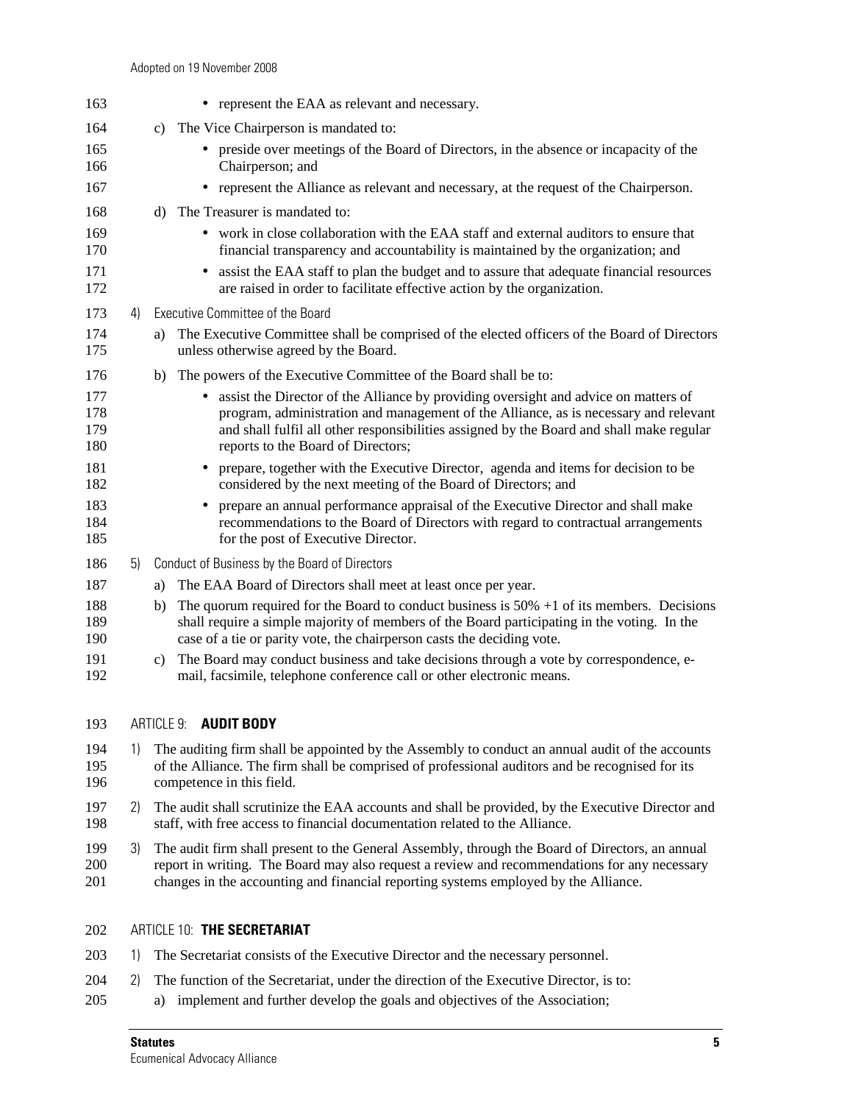| 163                      |    | • represent the EAA as relevant and necessary.                                                                                                                                                                                                                                                                             |
|--------------------------|----|----------------------------------------------------------------------------------------------------------------------------------------------------------------------------------------------------------------------------------------------------------------------------------------------------------------------------|
| 164                      |    | c) The Vice Chairperson is mandated to:                                                                                                                                                                                                                                                                                    |
| 165<br>166               |    | • preside over meetings of the Board of Directors, in the absence or incapacity of the<br>Chairperson; and                                                                                                                                                                                                                 |
| 167                      |    | • represent the Alliance as relevant and necessary, at the request of the Chairperson.                                                                                                                                                                                                                                     |
| 168                      |    | The Treasurer is mandated to:<br>d)                                                                                                                                                                                                                                                                                        |
| 169<br>170               |    | • work in close collaboration with the EAA staff and external auditors to ensure that<br>financial transparency and accountability is maintained by the organization; and                                                                                                                                                  |
| 171<br>172               |    | assist the EAA staff to plan the budget and to assure that adequate financial resources<br>are raised in order to facilitate effective action by the organization.                                                                                                                                                         |
| 173                      | 4) | Executive Committee of the Board                                                                                                                                                                                                                                                                                           |
| 174<br>175               |    | The Executive Committee shall be comprised of the elected officers of the Board of Directors<br>a)<br>unless otherwise agreed by the Board.                                                                                                                                                                                |
| 176                      |    | The powers of the Executive Committee of the Board shall be to:<br>b)                                                                                                                                                                                                                                                      |
| 177<br>178<br>179<br>180 |    | assist the Director of the Alliance by providing oversight and advice on matters of<br>$\bullet$<br>program, administration and management of the Alliance, as is necessary and relevant<br>and shall fulfil all other responsibilities assigned by the Board and shall make regular<br>reports to the Board of Directors; |
| 181<br>182               |    | prepare, together with the Executive Director, agenda and items for decision to be<br>considered by the next meeting of the Board of Directors; and                                                                                                                                                                        |
| 183<br>184<br>185        |    | prepare an annual performance appraisal of the Executive Director and shall make<br>recommendations to the Board of Directors with regard to contractual arrangements<br>for the post of Executive Director.                                                                                                               |
| 186                      | 5) | Conduct of Business by the Board of Directors                                                                                                                                                                                                                                                                              |
| 187                      |    | The EAA Board of Directors shall meet at least once per year.<br>a)                                                                                                                                                                                                                                                        |
| 188<br>189<br>190        |    | The quorum required for the Board to conduct business is $50\% + 1$ of its members. Decisions<br>b)<br>shall require a simple majority of members of the Board participating in the voting. In the<br>case of a tie or parity vote, the chairperson casts the deciding vote.                                               |
| 191<br>192               |    | The Board may conduct business and take decisions through a vote by correspondence, e-<br>c)<br>mail, facsimile, telephone conference call or other electronic means.                                                                                                                                                      |
| 193                      |    | ARTICLE 9: <b>AUDIT BODY</b>                                                                                                                                                                                                                                                                                               |
| 194<br>195<br>196        | 1) | The auditing firm shall be appointed by the Assembly to conduct an annual audit of the accounts<br>of the Alliance. The firm shall be comprised of professional auditors and be recognised for its<br>competence in this field.                                                                                            |
| 197<br>198               | 2) | The audit shall scrutinize the EAA accounts and shall be provided, by the Executive Director and<br>staff, with free access to financial documentation related to the Alliance.                                                                                                                                            |

199 3) The audit firm shall present to the General Assembly, through the Board of Directors, an annual 200 report in writing. The Board may also request a review and recommendations for any necessary<br>201 changes in the accounting and financial reporting systems employed by the Alliance. changes in the accounting and financial reporting systems employed by the Alliance.

## 202 ARTICLE 10: **THE SECRETARIAT**

- 203 1) The Secretariat consists of the Executive Director and the necessary personnel.
- 204 2) The function of the Secretariat, under the direction of the Executive Director, is to:
- 205 a) implement and further develop the goals and objectives of the Association;